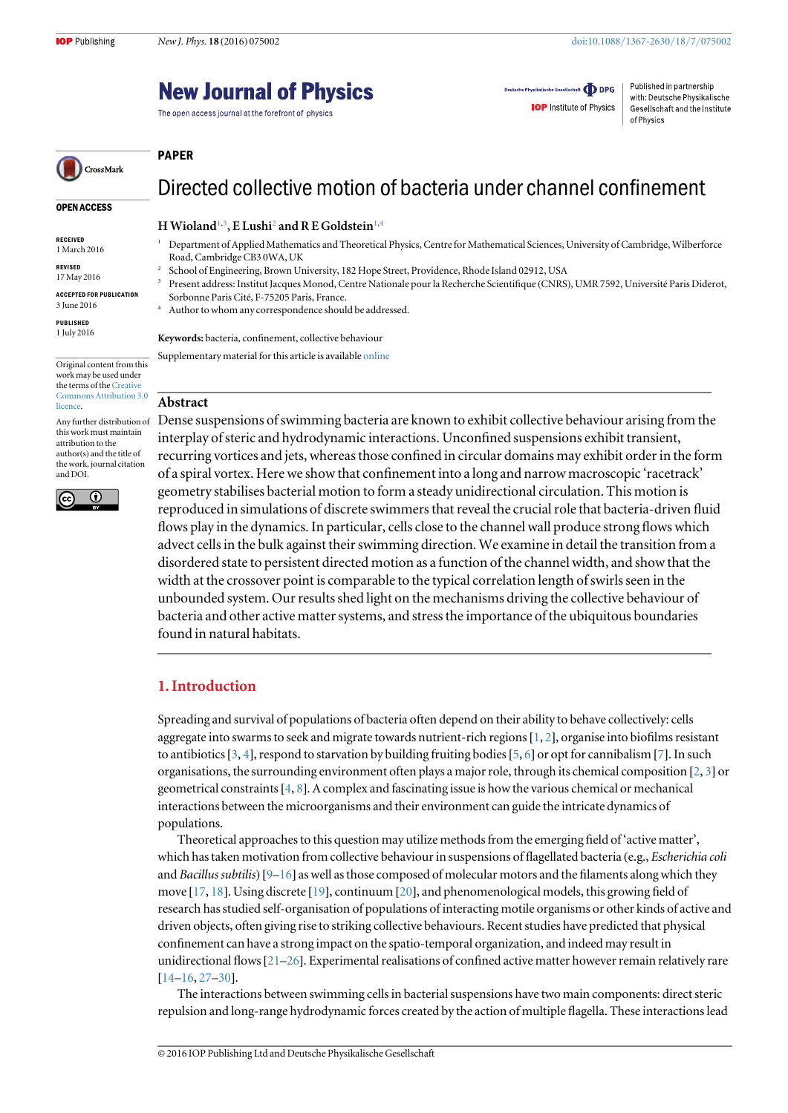OPEN ACCESS

CrossMark

RECEIVED 1 March 2016 REVISED 17 May 2016 ACCEPTED FOR PUBLICATION 3 June 2016 PUBLISHED 1 July 2016

licence.

# **New Journal of Physics**

The open access journal at the forefront of physics

Deutsche Physikalische Gesellschaft **ODPG IOP** Institute of Physics

Published in partnership with: Deutsche Physikalische Gesellschaft and the Institute of Physics

## PAPER

## Directed collective motion of bacteria under channel confinement

## H Wioland<sup>1,3</sup>, E Lushi<sup>2</sup> and R E Goldstein<sup>1,4</sup>

- <sup>1</sup> Department of Applied Mathematics and Theoretical Physics, Centre for Mathematical Sciences, University of Cambridge, Wilberforce Road, Cambridge CB3 0WA, UK
- <sup>2</sup> School of Engineering, Brown University, 182 Hope Street, Providence, Rhode Island 02912, USA
- <sup>3</sup> Present address: Institut Jacques Monod, Centre Nationale pour la Recherche Scientifique (CNRS), UMR 7592, Université Paris Diderot, Sorbonne Paris Cité, F-75205 Paris, France.
- Author to whom any correspondence should be addressed.

#### Keywords: bacteria, confinement, collective behaviour

Supplementary material for this article is available online

#### Abstract Commons Attribution 3.0

Any further distribution of this work must maintain attribution to the author(s) and the title of the work, journal citation and DOI.

Original content from this work may be used under the terms of the Creativ



Dense suspensions of swimming bacteria are known to exhibit collective behaviour arising from the interplay of steric and hydrodynamic interactions. Unconfined suspensions exhibit transient, recurring vortices and jets, whereas those confined in circular domains may exhibit order in the form of a spiral vortex. Here we show that confinement into a long and narrow macroscopic 'racetrack' geometry stabilises bacterial motion to form a steady unidirectional circulation. This motion is reproduced in simulations of discrete swimmers that reveal the crucial role that bacteria-driven fluid flows play in the dynamics. In particular, cells close to the channel wall produce strong flows which advect cells in the bulk against their swimming direction. We examine in detail the transition from a disordered state to persistent directed motion as a function of the channel width, and show that the width at the crossover point is comparable to the typical correlation length of swirls seen in the unbounded system. Our results shed light on the mechanisms driving the collective behaviour of bacteria and other active matter systems, and stress the importance of the ubiquitous boundaries found in natural habitats.

## 1. Introduction

Spreading and survival of populations of bacteria often depend on their ability to behave collectively: cells aggregate into swarms to seek and migrate towards nutrient-rich regions  $[1, 2]$ , organise into biofilms resistant to antibiotics[3, 4], respond to starvation by building fruiting bodies[5, 6] or opt for cannibalism [7]. In such organisations, the surrounding environment often plays a major role, through its chemical composition  $[2, 3]$  or geometrical constraints  $[4, 8]$ . A complex and fascinating issue is how the various chemical or mechanical interactions between the microorganisms and their environment can guide the intricate dynamics of populations.

Theoretical approaches to this question may utilize methods from the emerging field of 'active matter', which has taken motivation from collective behaviour in suspensions of flagellated bacteria (e.g., *Escherichia coli* and Bacillus subtilis) [9–16] as well as those composed of molecular motors and the filaments along which they move [17, 18]. Using discrete [19], continuum [20], and phenomenological models, this growing field of research has studied self-organisation of populations of interacting motile organisms or other kinds of active and driven objects, often giving rise to striking collective behaviours. Recent studies have predicted that physical confinement can have a strong impact on the spatio-temporal organization, and indeed may result in unidirectional flows [21–26]. Experimental realisations of confined active matter however remain relatively rare [14–16, 27–30].

The interactions between swimming cells in bacterial suspensions have two main components: direct steric repulsion and long-range hydrodynamic forces created by the action of multiple flagella. These interactions lead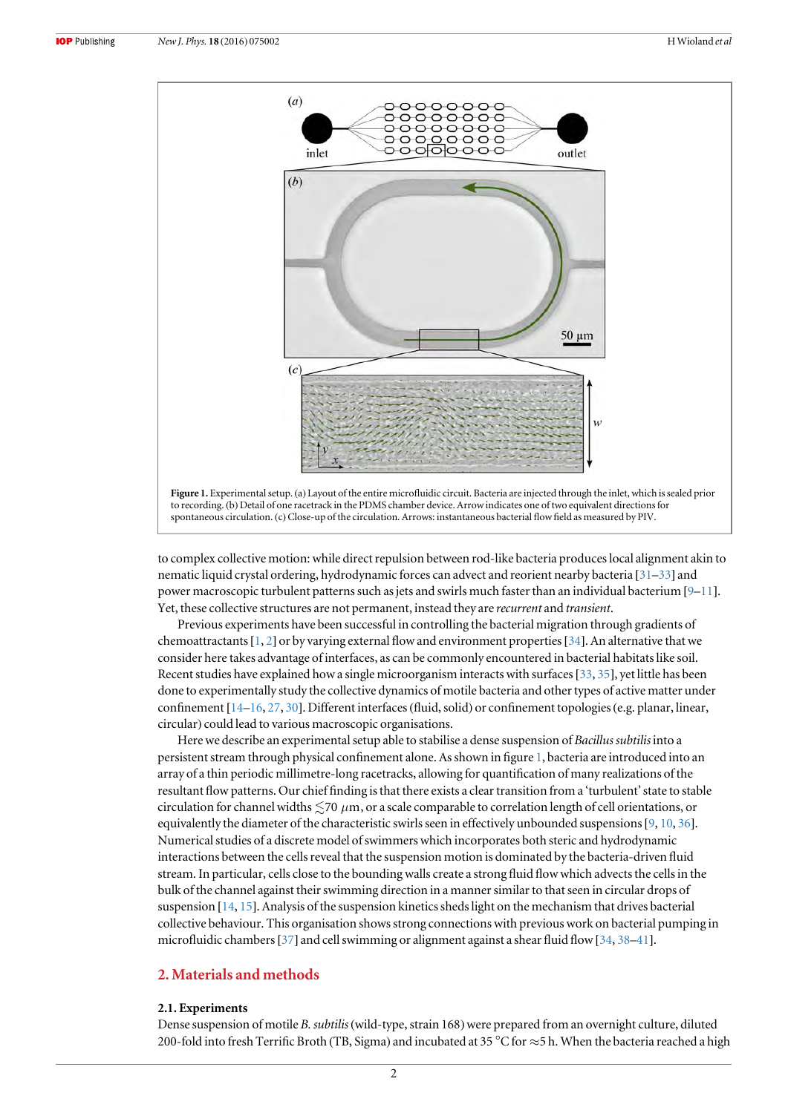

to complex collective motion: while direct repulsion between rod-like bacteria produces local alignment akin to nematic liquid crystal ordering, hydrodynamic forces can advect and reorient nearby bacteria [31–33] and power macroscopic turbulent patterns such as jets and swirls much faster than an individual bacterium [9–11]. Yet, these collective structures are not permanent, instead they are *recurrent* and *transient*.

Previous experiments have been successful in controlling the bacterial migration through gradients of chemoattractants[1, 2] or by varying external flow and environment properties[34]. An alternative that we consider here takes advantage of interfaces, as can be commonly encountered in bacterial habitats like soil. Recent studies have explained how a single microorganism interacts with surfaces[33, 35], yet little has been done to experimentally study the collective dynamics of motile bacteria and other types of active matter under confinement [14–16, 27, 30]. Different interfaces(fluid, solid) or confinement topologies(e.g. planar, linear, circular) could lead to various macroscopic organisations.

Here we describe an experimental setup able to stabilise a dense suspension of Bacillus subtilis into a persistent stream through physical confinement alone. As shown in figure 1, bacteria are introduced into an array of a thin periodic millimetre-long racetracks, allowing for quantification of many realizations of the resultant flow patterns. Our chief finding is that there exists a clear transition from a 'turbulent'state to stable circulation for channel widths  $\leq 70 \mu m$ , or a scale comparable to correlation length of cell orientations, or equivalently the diameter of the characteristic swirls seen in effectively unbounded suspensions [9, 10, 36]. Numerical studies of a discrete model of swimmers which incorporates both steric and hydrodynamic interactions between the cells reveal that the suspension motion is dominated by the bacteria-driven fluid stream. In particular, cells close to the bounding walls create a strong fluid flow which advects the cells in the bulk of the channel against their swimming direction in a manner similar to that seen in circular drops of suspension [14, 15]. Analysis of the suspension kinetics sheds light on the mechanism that drives bacterial collective behaviour. This organisation shows strong connections with previous work on bacterial pumping in microfluidic chambers[37] and cell swimming or alignment against a shear fluid flow[34, 38–41].

## 2. Materials and methods

#### 2.1. Experiments

Dense suspension of motile B. subtilis (wild-type, strain 168) were prepared from an overnight culture, diluted 200-fold into fresh Terrific Broth (TB, Sigma) and incubated at 35 °C for  $\approx$  5 h. When the bacteria reached a high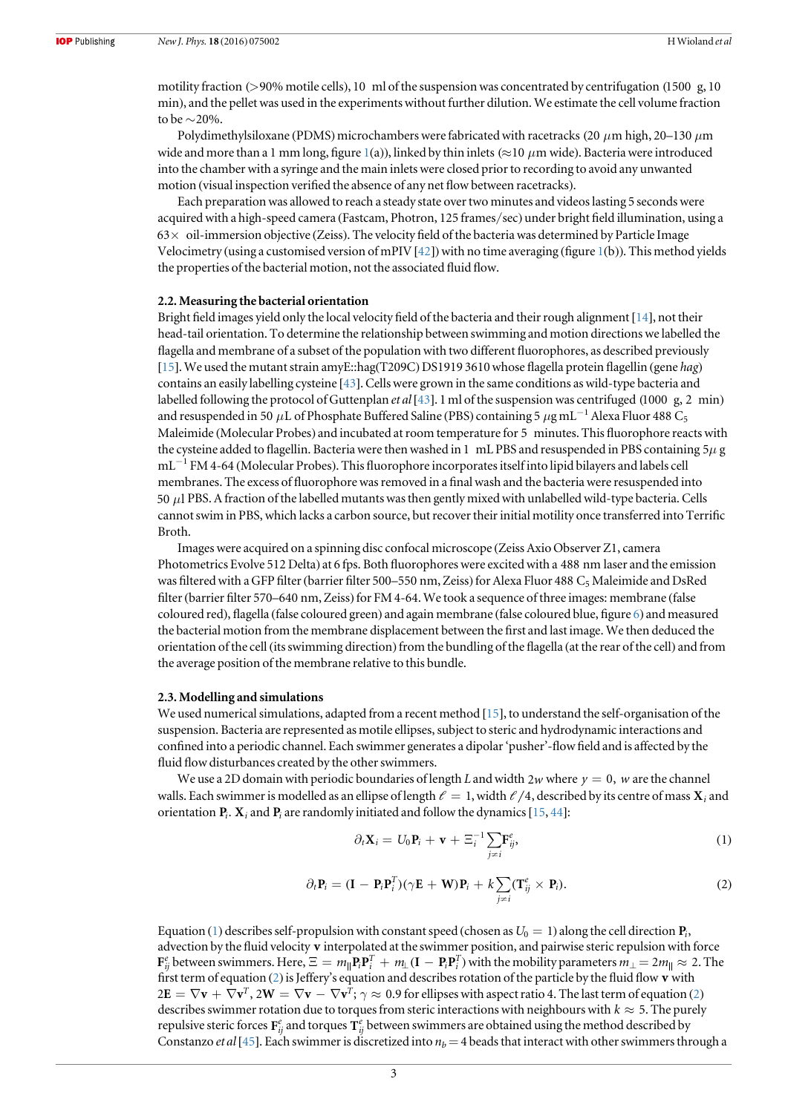motility fraction (>90% motile cells), 10 ml of the suspension was concentrated by centrifugation (1500 g, 10 min), and the pellet was used in the experiments without further dilution. We estimate the cell volume fraction to be  $\sim$  20%.

Polydimethylsiloxane (PDMS) microchambers were fabricated with racetracks (20 m*m* high, 20–130 μm wide and more than a 1 mm long, figure 1(a)), linked by thin inlets ( $\approx$ 10  $\mu$ m wide). Bacteria were introduced into the chamber with a syringe and the main inlets were closed prior to recording to avoid any unwanted motion (visual inspection verified the absence of any net flow between racetracks).

Each preparation was allowed to reach a steady state over two minutes and videos lasting 5 seconds were acquired with a high-speed camera (Fastcam, Photron, 125 frames/sec) under bright field illumination, using a  $63\times$  oil-immersion objective (Zeiss). The velocity field of the bacteria was determined by Particle Image Velocimetry (using a customised version of mPIV [42]) with no time averaging (figure 1(b)). This method yields the properties of the bacterial motion, not the associated fluid flow.

### 2.2. Measuring the bacterial orientation

Bright field images yield only the local velocity field of the bacteria and their rough alignment [14], not their head-tail orientation. To determine the relationship between swimming and motion directions we labelled the flagella and membrane of a subset of the population with two different fluorophores, as described previously [15]. We used the mutant strain amyE::hag(T209C) DS1919 3610 whose flagella protein flagellin (gene hag) contains an easily labelling cysteine [43]. Cells were grown in the same conditions as wild-type bacteria and labelled following the protocol of Guttenplan *et al* [43]. 1 ml of the suspension was centrifuged (1000 g, 2 min) and resuspended in 50  $\mu$ L of Phosphate Buffered Saline (PBS) containing 5  $\mu$ g mL<sup>−1</sup> Alexa Fluor 488 C<sub>5</sub> Maleimide (Molecular Probes) and incubated at room temperature for 5 minutes. This fluorophore reacts with the cysteine added to flagellin. Bacteria were then washed in 1 mL PBS and resuspended in PBS containing 5*m* g mL<sup>-1</sup> FM 4-64 (Molecular Probes). This fluorophore incorporates itself into lipid bilayers and labels cell membranes. The excess of fluorophore was removed in a final wash and the bacteria were resuspended into 50 *m*l PBS. A fraction of the labelled mutants was then gently mixed with unlabelled wild-type bacteria. Cells cannot swim in PBS, which lacks a carbon source, but recover their initial motility once transferred into Terrific Broth.

Images were acquired on a spinning disc confocal microscope (Zeiss Axio Observer Z1, camera Photometrics Evolve 512 Delta) at 6 fps. Both fluorophores were excited with a 488 nm laser and the emission was filtered with a GFP filter (barrier filter 500–550 nm, Zeiss) for Alexa Fluor 488 C<sub>5</sub> Maleimide and DsRed filter (barrier filter 570–640 nm, Zeiss) for FM 4-64. We took a sequence of three images: membrane (false coloured red), flagella (false coloured green) and again membrane (false coloured blue, figure 6) and measured the bacterial motion from the membrane displacement between the first and last image. We then deduced the orientation of the cell (its swimming direction) from the bundling of the flagella (at the rear of the cell) and from the average position of the membrane relative to this bundle.

#### 2.3. Modelling and simulations

We used numerical simulations, adapted from a recent method [15], to understand the self-organisation of the suspension. Bacteria are represented as motile ellipses, subject to steric and hydrodynamic interactions and confined into a periodic channel. Each swimmer generates a dipolar 'pusher'-flow field and is affected by the fluid flow disturbances created by the other swimmers.

We use a 2D domain with periodic boundaries of length L and width 2w where  $y = 0$ , w are the channel walls. Each swimmer is modelled as an ellipse of length  $\ell = 1$ , width  $\ell/4$ , described by its centre of mass  $\mathbf{X}_i$  and orientation  $P_i$ .  $X_i$  and  $P_i$  are randomly initiated and follow the dynamics [15, 44]:

$$
\partial_t \mathbf{X}_i = U_0 \mathbf{P}_i + \mathbf{v} + \Xi_i^{-1} \sum_{j \neq i} \mathbf{F}_{ij}^e, \tag{1}
$$

$$
\partial_t \mathbf{P}_i = (\mathbf{I} - \mathbf{P}_i \mathbf{P}_i^T)(\gamma \mathbf{E} + \mathbf{W}) \mathbf{P}_i + k \sum_{j \neq i} (\mathbf{T}_{ij}^e \times \mathbf{P}_i).
$$
 (2)

Equation (1) describes self-propulsion with constant speed (chosen as  $U_0 = 1$ ) along the cell direction  $P_i$ , advection by the fluid velocity **v** interpolated at the swimmer position, and pairwise steric repulsion with force  $\mathbf{F}_{ij}^e$  between swimmers. Here,  $\Xi = m_\parallel \mathbf{P}_i \mathbf{P}_i^T + m_\perp (\mathbf{I} - \mathbf{P}_i \mathbf{P}_i^T)$  with the mobility parameters  $m_\perp = 2 m_\parallel \approx 2.$  The first term of equation (2) is Jeffery's equation and describes rotation of the particle by the fluid flow **v** with  $2E = \nabla v + \nabla v^T$ ,  $2W = \nabla v - \nabla v^T$ ;  $\gamma \approx 0.9$  for ellipses with aspect ratio 4. The last term of equation (2) describes swimmer rotation due to torques from steric interactions with neighbours with  $k \approx 5$ . The purely repulsive steric forces  $\mathbf{F}_{ij}^e$  and torques  $\mathbf{T}_{ij}^e$  between swimmers are obtained using the method described by Constanzo et al [45]. Each swimmer is discretized into  $n_b=4$  beads that interact with other swimmers through a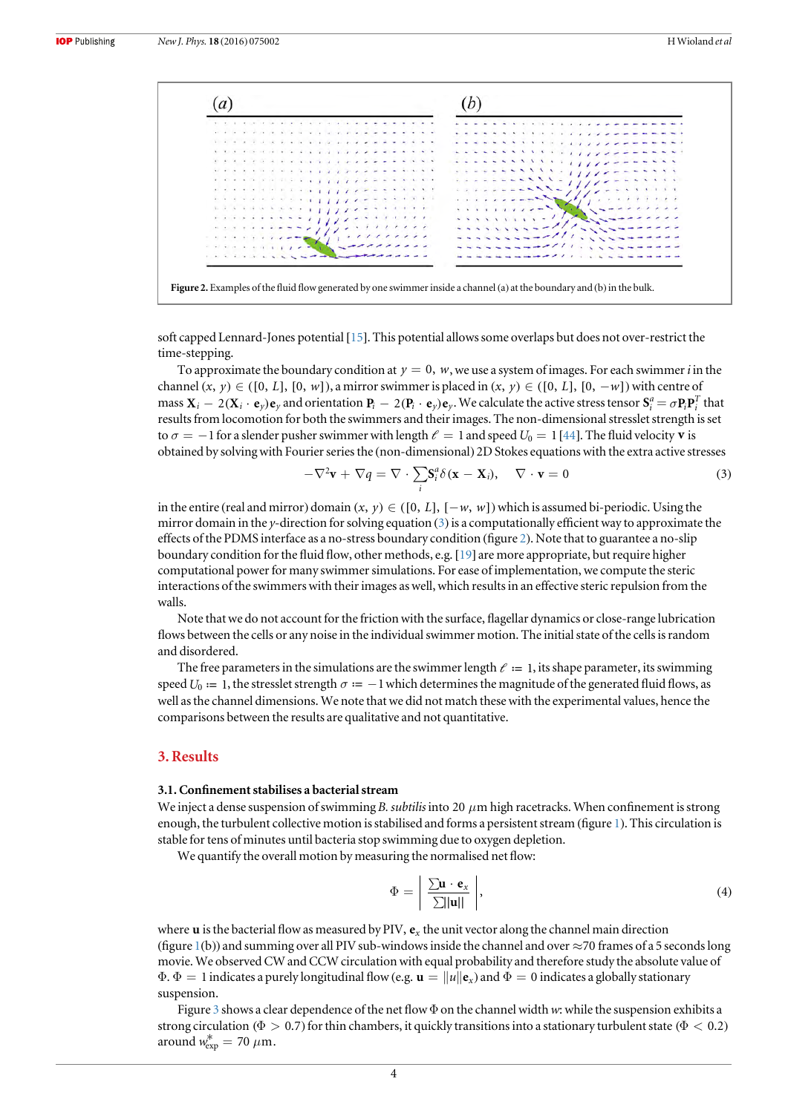



soft capped Lennard-Jones potential [15]. This potential allows some overlaps but does not over-restrict the time-stepping.

To approximate the boundary condition at  $y = 0$ , w, we use a system of images. For each swimmer *i* in the channel  $(x, y) \in ([0, L], [0, w])$ , a mirror swimmer is placed in  $(x, y) \in ([0, L], [0, -w])$  with centre of mass  $X_i - 2(X_i \cdot e_y)e_y$  and orientation  $P_i - 2(P_i \cdot e_y)e_y$ . We calculate the active stress tensor  $S_i^a = \sigma P_i P_i^T$  that results from locomotion for both the swimmers and their images. The non-dimensional stresslet strength is set to  $\sigma = -1$  for a slender pusher swimmer with length  $\ell = 1$  and speed  $U_0 = 1$  [44]. The fluid velocity **v** is obtained by solving with Fourier series the (non-dimensional) 2D Stokes equations with the extra active stresses

$$
-\nabla^2 \mathbf{v} + \nabla q = \nabla \cdot \sum_{i} \mathbf{S}_i^a \delta(\mathbf{x} - \mathbf{X}_i), \quad \nabla \cdot \mathbf{v} = 0
$$
 (3)

in the entire (real and mirror) domain  $(x, y) \in ([0, L], [-w, w])$  which is assumed bi-periodic. Using the mirror domain in the y-direction for solving equation  $(3)$  is a computationally efficient way to approximate the effects of the PDMS interface as a no-stress boundary condition (figure 2). Note that to guarantee a no-slip boundary condition for the fluid flow, other methods, e.g. [19] are more appropriate, but require higher computational power for many swimmer simulations. For ease of implementation, we compute the steric interactions of the swimmers with their images as well, which results in an effective steric repulsion from the walls.

Note that we do not account for the friction with the surface, flagellar dynamics or close-range lubrication flows between the cells or any noise in the individual swimmer motion. The initial state of the cells is random and disordered.

The free parameters in the simulations are the swimmer length  $\ell := 1$ , its shape parameter, its swimming speed  $U_0 := 1$ , the stresslet strength  $\sigma := -1$  which determines the magnitude of the generated fluid flows, as well as the channel dimensions. We note that we did not match these with the experimental values, hence the comparisons between the results are qualitative and not quantitative.

#### 3. Results

#### 3.1. Confinement stabilises a bacterial stream

We inject a dense suspension of swimming B. *subtilis* into 20  $\mu$ m high racetracks. When confinement is strong enough, the turbulent collective motion is stabilised and forms a persistent stream (figure 1). This circulation is stable for tens of minutes until bacteria stop swimming due to oxygen depletion.

We quantify the overall motion by measuring the normalised net flow:

$$
\Phi = \left| \frac{\sum \mathbf{u} \cdot \mathbf{e}_x}{\sum ||\mathbf{u}||} \right|,\tag{4}
$$

where **u** is the bacterial flow as measured by PIV, **e***<sup>x</sup>* the unit vector along the channel main direction (figure 1(b)) and summing over all PIV sub-windows inside the channel and over  $\approx$  70 frames of a 5 seconds long movie. We observed CW and CCW circulation with equal probability and therefore study the absolute value of  $\Phi$ .  $\Phi = 1$  indicates a purely longitudinal flow (e.g.  $\mathbf{u} = ||u||\mathbf{e}_x$ ) and  $\Phi = 0$  indicates a globally stationary suspension.

Figure 3 shows a clear dependence of the net flow  $\Phi$  on the channel width w: while the suspension exhibits a strong circulation ( $\Phi > 0.7$ ) for thin chambers, it quickly transitions into a stationary turbulent state ( $\Phi < 0.2$ ) around  $w_{\text{exp}}^* = 70 \ \mu \text{m}$ .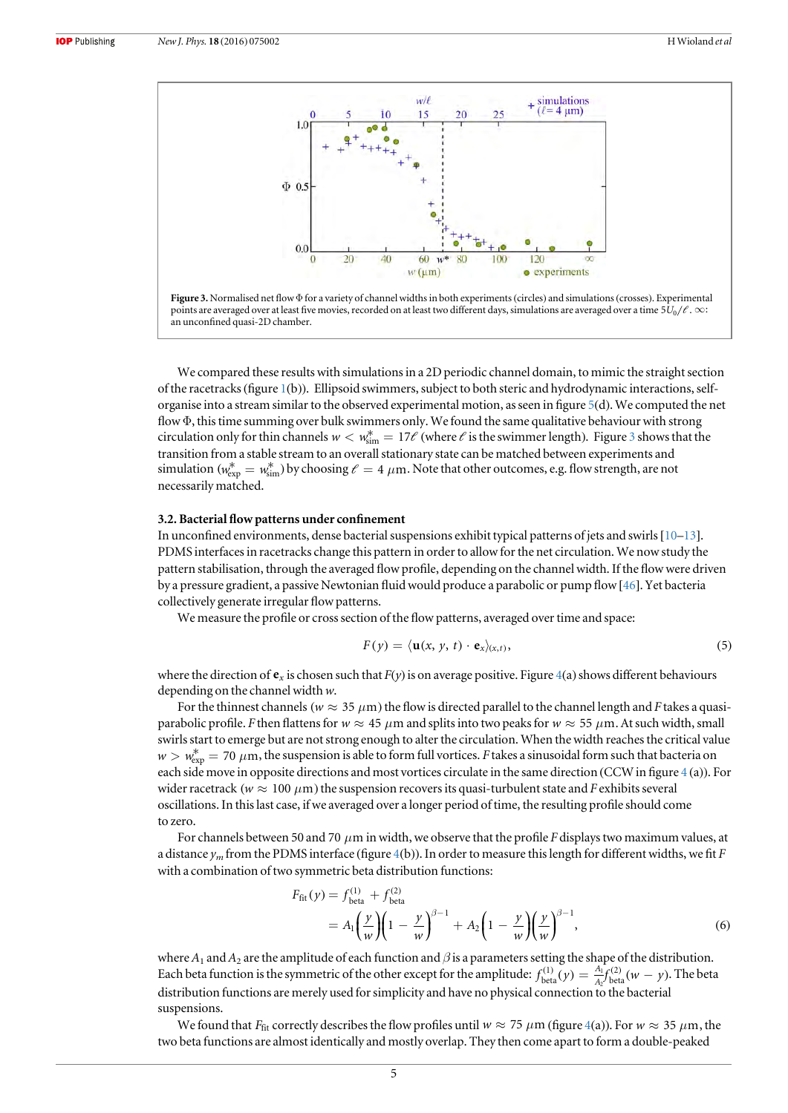



We compared these results with simulations in a 2D periodic channel domain, to mimic the straight section of the racetracks(figure 1(b)). Ellipsoid swimmers, subject to both steric and hydrodynamic interactions, selforganise into a stream similar to the observed experimental motion, as seen in figure 5(d). We computed the net flowΦ, this time summing over bulk swimmers only. We found the same qualitative behaviour with strong circulation only for thin channels  $w < w_{\text{sim}}^* = 17\ell$  (where  $\ell$  is the swimmer length). Figure 3 shows that the transition from a stable stream to an overall stationary state can be matched between experiments and simulation ( $w_{\text{exp}}^* = w_{\text{sim}}^*$ ) by choosing  $\ell = 4 \mu$ m. Note that other outcomes, e.g. flow strength, are not necessarily matched.

#### 3.2. Bacterial flow patterns under confinement

In unconfined environments, dense bacterial suspensions exhibit typical patterns of jets and swirls[10–13]. PDMS interfaces in racetracks change this pattern in order to allow for the net circulation. We now study the pattern stabilisation, through the averaged flow profile, depending on the channel width. If the flow were driven by a pressure gradient, a passive Newtonian fluid would produce a parabolic or pump flow[46]. Yet bacteria collectively generate irregular flow patterns.

We measure the profile or cross section of the flow patterns, averaged over time and space:

$$
F(y) = \langle \mathbf{u}(x, y, t) \cdot \mathbf{e}_x \rangle_{(x, t)},
$$
\n(5)

where the direction of  $\mathbf{e}_x$  is chosen such that  $F(y)$  is on average positive. Figure 4(a) shows different behaviours depending on the channel width  $w$ .

For the thinnest channels ( $w \approx 35 \ \mu m$ ) the flow is directed parallel to the channel length and F takes a quasiparabolic profile. F then flattens for  $w \approx 45 \mu m$  and splits into two peaks for  $w \approx 55 \mu m$ . At such width, small swirls start to emerge but are not strong enough to alter the circulation. When the width reaches the critical value  $w > w_{exp}^* = 70 \ \mu m$ , the suspension is able to form full vortices. *F* takes a sinusoidal form such that bacteria on each side move in opposite directions and most vortices circulate in the same direction (CCW in figure 4 (a)). For wider racetrack ( $w \approx 100 \ \mu m$ ) the suspension recovers its quasi-turbulent state and F exhibits several oscillations. In this last case, if we averaged over a longer period of time, the resulting profile should come to zero.

For channels between 50 and 70  $\mu$ m in width, we observe that the profile F displays two maximum values, at a distance  $y_m$  from the PDMS interface (figure 4(b)). In order to measure this length for different widths, we fit F with a combination of two symmetric beta distribution functions:

$$
F_{\text{fit}}(y) = f_{\text{beta}}^{(1)} + f_{\text{beta}}^{(2)}
$$
  
=  $A_1 \left( \frac{y}{w} \right) \left( 1 - \frac{y}{w} \right)^{\beta - 1} + A_2 \left( 1 - \frac{y}{w} \right) \left( \frac{y}{w} \right)^{\beta - 1},$  (6)

where  $A_1$  and  $A_2$  are the amplitude of each function and  $\beta$  is a parameters setting the shape of the distribution. Each beta function is the symmetric of the other except for the amplitude:  $f_{\text{beta}}^{(1)}(y) = \frac{A_1}{A_2} f_{\text{beta}}^{(2)}(w - y)$  $\frac{d_1}{d_2}f_{\text{beta}}^{(2)}(w-y)$ . The beta distribution functions are merely used for simplicity and have no physical connection to the bacterial suspensions.

We found that *F*<sub>fit</sub> correctly describes the flow profiles until  $w \approx 75 \ \mu m$  (figure 4(a)). For  $w \approx 35 \ \mu m$ , the two beta functions are almost identically and mostly overlap. They then come apart to form a double-peaked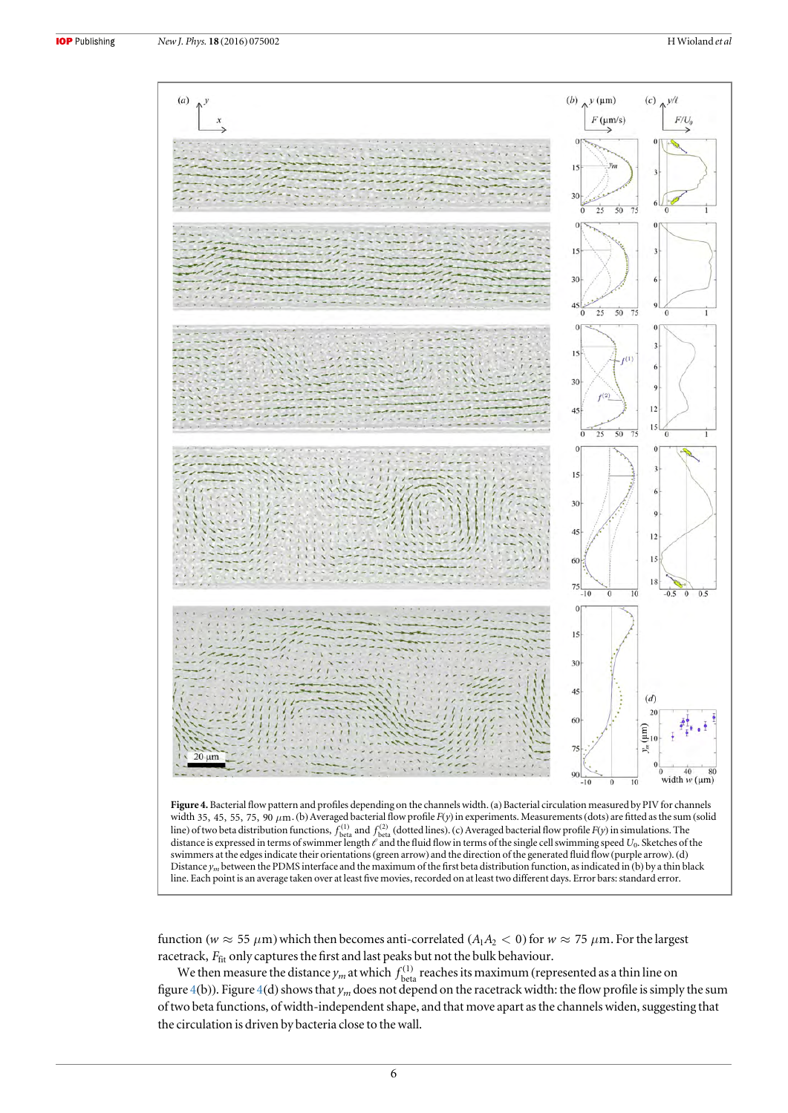

width 35, 45, 55, 75, 90  $\mu$ m. (b) Averaged bacterial flow profile  $F(y)$  in experiments. Measurements (dots) are fitted as the sum (solid line) of two beta distribution functions,  $f_{\text{beta}}^{(1)}$  and  $f_{\text{beta}}^{(2)}$  (dotted lines). (c) Averaged bacterial flow profile  $F(y)$  in simulations. The distance is expressed in terms of swimmer length  $\ell$  and the fluid flow in terms of the single cell swimming speed  $U_0$ . Sketches of the swimmers at the edges indicate their orientations(green arrow) and the direction of the generated fluid flow(purple arrow). (d) Distance  $y_m$  between the PDMS interface and the maximum of the first beta distribution function, as indicated in (b) by a thin black line. Each point is an average taken over at least five movies, recorded on at least two different days. Error bars: standard error.

function ( $w \approx 55 \ \mu m$ ) which then becomes anti-correlated ( $A_1 A_2 < 0$ ) for  $w \approx 75 \ \mu m$ . For the largest racetrack,  $F_{\text{fit}}$  only captures the first and last peaks but not the bulk behaviour.

We then measure the distance  $y_m$  at which  $f_{\text{beta}}^{(1)}$  reaches its maximum (represented as a thin line on figure 4(b)). Figure 4(d) shows that  $y_m$  does not depend on the racetrack width: the flow profile is simply the sum of two beta functions, of width-independent shape, and that move apart as the channels widen, suggesting that the circulation is driven by bacteria close to the wall.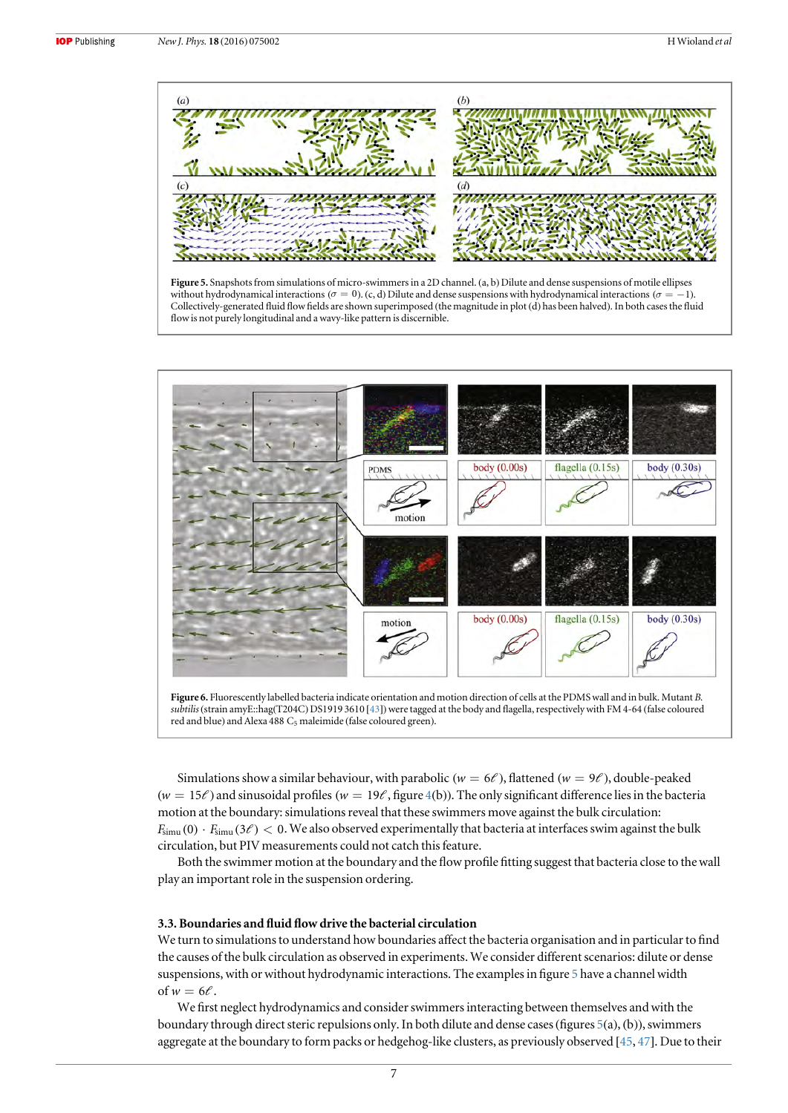

Figure 5. Snapshots from simulations of micro-swimmers in a 2D channel. (a, b) Dilute and dense suspensions of motile ellipses without hydrodynamical interactions ( $\sigma = 0$ ). (c, d) Dilute and dense suspensions with hydrodynamical interactions ( $\sigma = -1$ ). Collectively-generated fluid flowfields are shown superimposed (the magnitude in plot(d) has been halved). In both cases the fluid flow is not purely longitudinal and a wavy-like pattern is discernible.



subtilis (strain amyE::hag(T204C) DS1919 3610 [43]) were tagged at the body and flagella, respectively with FM 4-64 (false coloured red and blue) and Alexa 488 C<sub>5</sub> maleimide (false coloured green).

Simulations show a similar behaviour, with parabolic ( $w = 6\ell$ ), flattened ( $w = 9\ell$ ), double-peaked  $(w = 15\ell)$  and sinusoidal profiles  $(w = 19\ell,$  figure 4(b)). The only significant difference lies in the bacteria motion at the boundary: simulations reveal that these swimmers move against the bulk circulation:  $F_{\text{simu}}(0) \cdot F_{\text{simu}}(3\ell) < 0$ . We also observed experimentally that bacteria at interfaces swim against the bulk circulation, but PIV measurements could not catch this feature.

Both the swimmer motion at the boundary and the flow profile fitting suggest that bacteria close to the wall play an important role in the suspension ordering.

#### 3.3. Boundaries and fluid flow drive the bacterial circulation

We turn to simulations to understand how boundaries affect the bacteria organisation and in particular to find the causes of the bulk circulation as observed in experiments. We consider different scenarios: dilute or dense suspensions, with or without hydrodynamic interactions. The examples in figure 5 have a channel width of  $w = 6l$ .

We first neglect hydrodynamics and consider swimmers interacting between themselves and with the boundary through direct steric repulsions only. In both dilute and dense cases(figures 5(a),(b)), swimmers aggregate at the boundary to form packs or hedgehog-like clusters, as previously observed [45, 47]. Due to their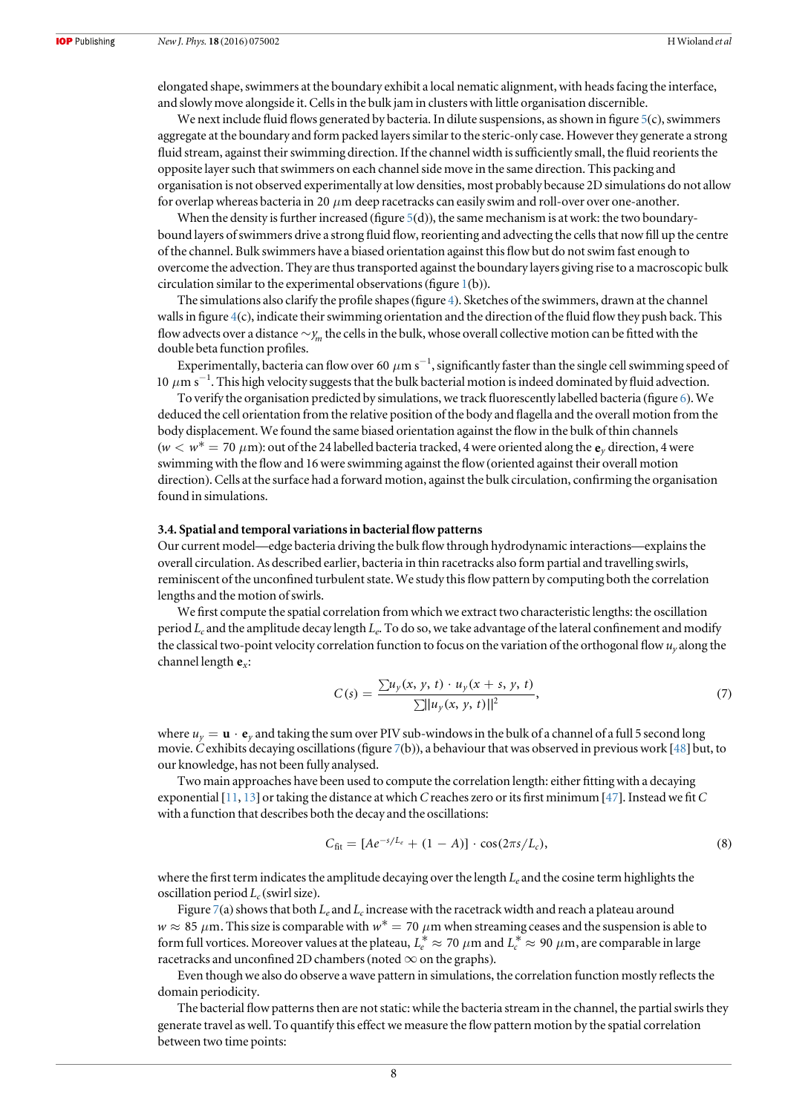elongated shape, swimmers at the boundary exhibit a local nematic alignment, with heads facing the interface, and slowly move alongside it. Cells in the bulk jam in clusters with little organisation discernible.

We next include fluid flows generated by bacteria. In dilute suspensions, as shown in figure 5(c), swimmers aggregate at the boundary and form packed layers similar to the steric-only case. However they generate a strong fluid stream, against their swimming direction. If the channel width is sufficiently small, the fluid reorients the opposite layer such that swimmers on each channel side move in the same direction. This packing and organisation is not observed experimentally at low densities, most probably because 2D simulations do not allow for overlap whereas bacteria in 20  $\mu$ m deep racetracks can easily swim and roll-over over one-another.

When the density is further increased (figure  $5(d)$ ), the same mechanism is at work: the two boundarybound layers of swimmers drive a strong fluid flow, reorienting and advecting the cells that nowfill up the centre of the channel. Bulk swimmers have a biased orientation against this flow but do not swim fast enough to overcome the advection. They are thus transported against the boundary layers giving rise to a macroscopic bulk circulation similar to the experimental observations(figure 1(b)).

The simulations also clarify the profile shapes(figure 4). Sketches of the swimmers, drawn at the channel walls in figure 4(c), indicate their swimming orientation and the direction of the fluid flow they push back. This flow advects over a distance  $\sim$   $y_m$  the cells in the bulk, whose overall collective motion can be fitted with the double beta function profiles.

Experimentally, bacteria can flow over 60  $\mu$ m s<sup>-1</sup>, significantly faster than the single cell swimming speed of  $10 \mu$ m s<sup>-1</sup>. This high velocity suggests that the bulk bacterial motion is indeed dominated by fluid advection.

To verify the organisation predicted by simulations, we track fluorescently labelled bacteria (figure 6). We deduced the cell orientation from the relative position of the body and flagella and the overall motion from the body displacement. We found the same biased orientation against the flow in the bulk of thin channels  $(w < w^* = 70 \ \mu m)$ : out of the 24 labelled bacteria tracked, 4 were oriented along the  $e_y$  direction, 4 were swimming with the flow and 16 were swimming against the flow(oriented against their overall motion direction). Cells at the surface had a forward motion, against the bulk circulation, confirming the organisation found in simulations.

#### 3.4. Spatial and temporal variations in bacterial flow patterns

Our current model—edge bacteria driving the bulk flow through hydrodynamic interactions—explains the overall circulation. As described earlier, bacteria in thin racetracks also form partial and travelling swirls, reminiscent of the unconfined turbulent state. We study this flow pattern by computing both the correlation lengths and the motion of swirls.

We first compute the spatial correlation from which we extract two characteristic lengths: the oscillation period  $L_c$  and the amplitude decay length  $L_c$ . To do so, we take advantage of the lateral confinement and modify the classical two-point velocity correlation function to focus on the variation of the orthogonal flow  $u<sub>v</sub>$  along the channel length **e***x*:

$$
C(s) = \frac{\sum u_y(x, y, t) \cdot u_y(x + s, y, t)}{\sum ||u_y(x, y, t)||^2},
$$
\n(7)

where  $u_v = \mathbf{u} \cdot \mathbf{e}_v$  and taking the sum over PIV sub-windows in the bulk of a channel of a full 5 second long movie. C exhibits decaying oscillations (figure 7(b)), a behaviour that was observed in previous work [48] but, to our knowledge, has not been fully analysed.

Two main approaches have been used to compute the correlation length: either fitting with a decaying exponential  $[11, 13]$  or taking the distance at which C reaches zero or its first minimum [47]. Instead we fit C with a function that describes both the decay and the oscillations:

$$
C_{\text{fit}} = [Ae^{-s/L_c} + (1 - A)] \cdot \cos(2\pi s/L_c), \tag{8}
$$

where the first term indicates the amplitude decaying over the length  $L_e$  and the cosine term highlights the oscillation period  $L_c$  (swirl size).

Figure 7(a) shows that both  $L_e$  and  $L_c$  increase with the racetrack width and reach a plateau around  $w \approx 85 \mu$ m. This size is comparable with  $w^* = 70 \mu$ m when streaming ceases and the suspension is able to form full vortices. Moreover values at the plateau,  $L_e^*\approx$  70  $\mu$ m and  $L_c^*\approx$  90  $\mu$ m, are comparable in large racetracks and unconfined 2D chambers (noted  $\infty$  on the graphs).

Even though we also do observe a wave pattern in simulations, the correlation function mostly reflects the domain periodicity.

The bacterial flow patterns then are not static: while the bacteria stream in the channel, the partial swirls they generate travel as well. To quantify this effect we measure the flow pattern motion by the spatial correlation between two time points: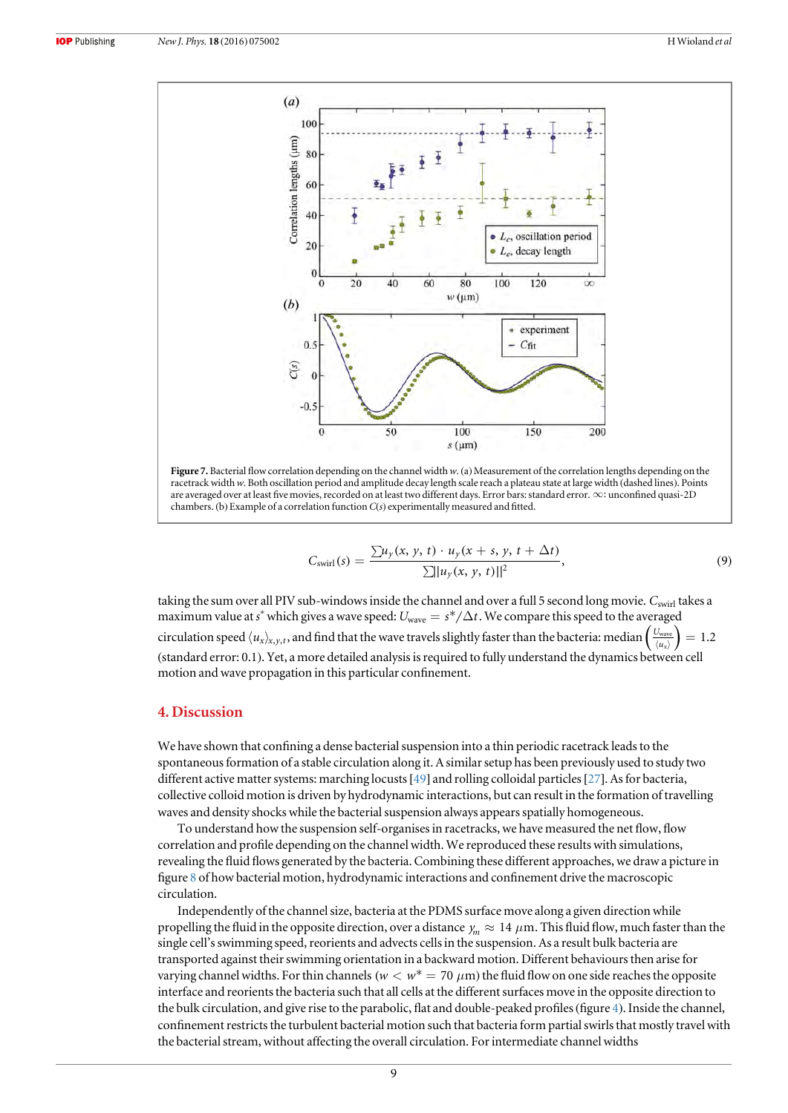

Figure 7. Bacterial flow correlation depending on the channel width  $w$ . (a) Measurement of the correlation lengths depending on the racetrack widthw. Both oscillation period and amplitude decay length scale reach a plateau state at large width (dashed lines). Points are averaged over at least five movies, recorded on at least two different days. Error bars: standard error.  $\infty$ : unconfined quasi-2D chambers. (b) Example of a correlation function  $C(s)$  experimentally measured and fitted.

$$
C_{\text{swirl}}(s) = \frac{\sum u_y(x, y, t) \cdot u_y(x + s, y, t + \Delta t)}{\sum ||u_y(x, y, t)||^2},\tag{9}
$$

taking the sum over all PIV sub-windows inside the channel and over a full 5 second long movie. *C*swirl takes a maximum value at  $s^*$  which gives a wave speed:  $U_{\text{wave}} = s^*/\Delta t$ . We compare this speed to the averaged circulation speed  $\langle u_x \rangle_{x,y,t}$ , and find that the wave travels slightly faster than the bacteria: median  $\left(\frac{U_{\text{wave}}}{\langle u_x \rangle}\right) = 1.2$ (standard error: 0.1). Yet, a more detailed analysis is required to fully understand the dynamics between cell motion and wave propagation in this particular confinement.

#### 4. Discussion

We have shown that confining a dense bacterial suspension into a thin periodic racetrack leads to the spontaneous formation of a stable circulation along it. A similar setup has been previously used to study two different active matter systems: marching locusts[49] and rolling colloidal particles[27]. As for bacteria, collective colloid motion is driven by hydrodynamic interactions, but can result in the formation of travelling waves and density shocks while the bacterial suspension always appears spatially homogeneous.

To understand how the suspension self-organises in racetracks, we have measured the net flow, flow correlation and profile depending on the channel width. We reproduced these results with simulations, revealing the fluid flows generated by the bacteria. Combining these different approaches, we draw a picture in figure 8 of how bacterial motion, hydrodynamic interactions and confinement drive the macroscopic circulation.

Independently of the channel size, bacteria at the PDMS surface move along a given direction while propelling the fluid in the opposite direction, over a distance  $y_m \approx 14 \ \mu m$ . This fluid flow, much faster than the single cell's swimming speed, reorients and advects cells in the suspension. As a result bulk bacteria are transported against their swimming orientation in a backward motion. Different behaviours then arise for varying channel widths. For thin channels ( $w < w^* = 70 \ \mu m$ ) the fluid flow on one side reaches the opposite interface and reorients the bacteria such that all cells at the different surfaces move in the opposite direction to the bulk circulation, and give rise to the parabolic, flat and double-peaked profiles(figure 4). Inside the channel, confinement restricts the turbulent bacterial motion such that bacteria form partial swirls that mostly travel with the bacterial stream, without affecting the overall circulation. For intermediate channel widths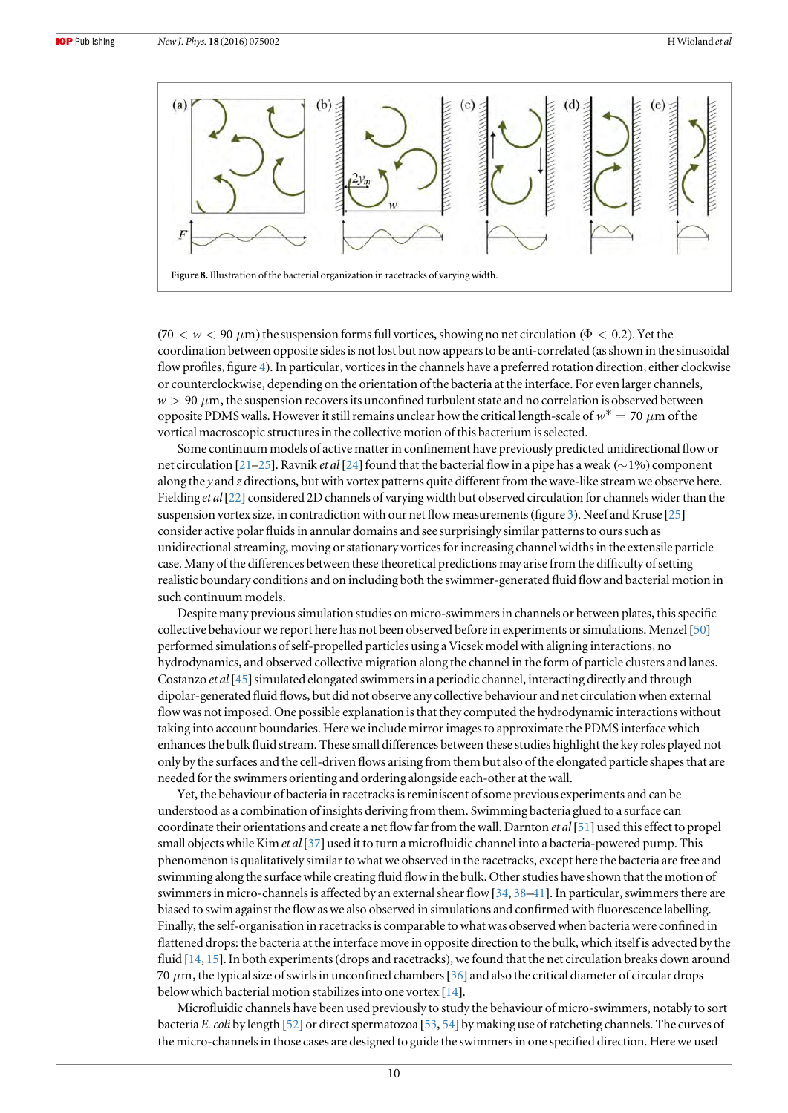

(70  $< w < 90 \mu m$ ) the suspension forms full vortices, showing no net circulation ( $\Phi < 0.2$ ). Yet the coordination between opposite sides is not lost but now appears to be anti-correlated (as shown in the sinusoidal flow profiles, figure 4). In particular, vortices in the channels have a preferred rotation direction, either clockwise or counterclockwise, depending on the orientation of the bacteria at the interface. For even larger channels,  $w > 90 \mu m$ , the suspension recovers its unconfined turbulent state and no correlation is observed between opposite PDMS walls. However it still remains unclear how the critical length-scale of  $w^* = 70 \ \mu m$  of the vortical macroscopic structures in the collective motion of this bacterium is selected.

Some continuum models of active matter in confinement have previously predicted unidirectional flow or net circulation [21–25]. Ravnik *et al* [24] found that the bacterial flow in a pipe has a weak ( $\sim$ 1%) component along the  $\gamma$  and  $z$  directions, but with vortex patterns quite different from the wave-like stream we observe here. Fielding et al [22] considered 2D channels of varying width but observed circulation for channels wider than the suspension vortex size, in contradiction with our net flow measurements (figure 3). Neef and Kruse [25] consider active polar fluids in annular domains and see surprisingly similar patterns to ours such as unidirectional streaming, moving or stationary vortices for increasing channel widths in the extensile particle case. Many of the differences between these theoretical predictions may arise from the difficulty of setting realistic boundary conditions and on including both the swimmer-generated fluid flow and bacterial motion in such continuum models.

Despite many previous simulation studies on micro-swimmers in channels or between plates, this specific collective behaviour we report here has not been observed before in experiments or simulations. Menzel[50] performed simulations of self-propelled particles using a Vicsek model with aligning interactions, no hydrodynamics, and observed collective migration along the channel in the form of particle clusters and lanes. Costanzo et al [45] simulated elongated swimmers in a periodic channel, interacting directly and through dipolar-generated fluid flows, but did not observe any collective behaviour and net circulation when external flow was not imposed. One possible explanation is that they computed the hydrodynamic interactions without taking into account boundaries. Here we include mirror images to approximate the PDMS interface which enhances the bulk fluid stream. These small differences between these studies highlight the key roles played not only by the surfaces and the cell-driven flows arising from them but also of the elongated particle shapes that are needed for the swimmers orienting and ordering alongside each-other at the wall.

Yet, the behaviour of bacteria in racetracks is reminiscent of some previous experiments and can be understood as a combination of insights deriving from them. Swimming bacteria glued to a surface can coordinate their orientations and create a net flow far from the wall. Darnton et al [51] used this effect to propel small objects while Kim et al [37] used it to turn a microfluidic channel into a bacteria-powered pump. This phenomenon is qualitatively similar to what we observed in the racetracks, except here the bacteria are free and swimming along the surface while creating fluid flow in the bulk. Other studies have shown that the motion of swimmers in micro-channels is affected by an external shear flow[34, 38–41]. In particular, swimmers there are biased to swim against the flowas we also observed in simulations and confirmed with fluorescence labelling. Finally, the self-organisation in racetracks is comparable to what was observed when bacteria were confined in flattened drops: the bacteria at the interface move in opposite direction to the bulk, which itself is advected by the fluid [14, 15]. In both experiments (drops and racetracks), we found that the net circulation breaks down around 70  $\mu$ m, the typical size of swirls in unconfined chambers [36] and also the critical diameter of circular drops below which bacterial motion stabilizes into one vortex [14].

Microfluidic channels have been used previously to study the behaviour of micro-swimmers, notably to sort bacteria E. coli by length [52] or direct spermatozoa [53, 54] by making use of ratcheting channels. The curves of the micro-channels in those cases are designed to guide the swimmers in one specified direction. Here we used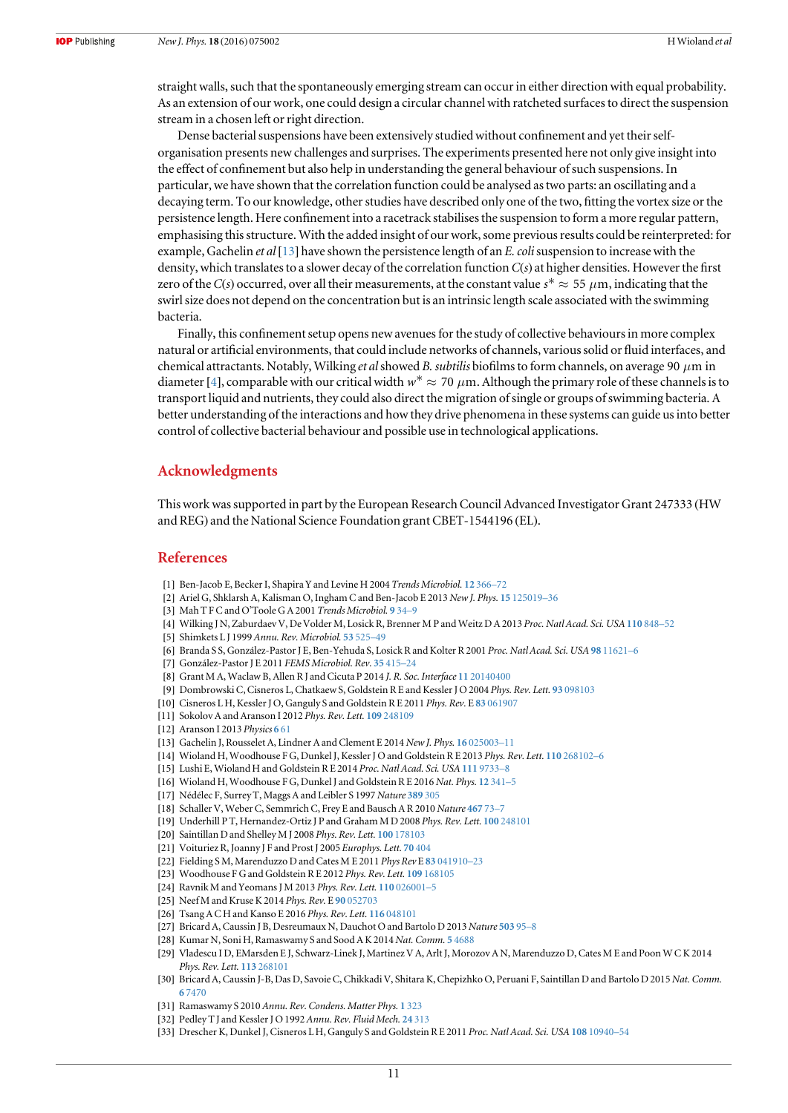straight walls, such that the spontaneously emerging stream can occur in either direction with equal probability. As an extension of our work, one could design a circular channel with ratcheted surfaces to direct the suspension stream in a chosen left or right direction.

Dense bacterial suspensions have been extensively studied without confinement and yet their selforganisation presents new challenges and surprises. The experiments presented here not only give insight into the effect of confinement but also help in understanding the general behaviour of such suspensions. In particular, we have shown that the correlation function could be analysed as two parts: an oscillating and a decaying term. To our knowledge, other studies have described only one of the two, fitting the vortex size or the persistence length. Here confinement into a racetrack stabilises the suspension to form a more regular pattern, emphasising this structure. With the added insight of our work, some previous results could be reinterpreted: for example, Gachelin et al [13] have shown the persistence length of an E. coli suspension to increase with the density, which translates to a slower decay of the correlation function  $C(s)$  at higher densities. However the first zero of the C(s) occurred, over all their measurements, at the constant value  $s^* \approx 55 \ \mu m$ , indicating that the swirl size does not depend on the concentration but is an intrinsic length scale associated with the swimming bacteria.

Finally, this confinement setup opens new avenues for the study of collective behaviours in more complex natural or artificial environments, that could include networks of channels, various solid or fluid interfaces, and chemical attractants. Notably, Wilking *et al* showed B. subtilis biofilms to form channels, on average 90  $\mu$ m in diameter [4], comparable with our critical width  $w^* \approx 70 \ \mu m$ . Although the primary role of these channels is to transport liquid and nutrients, they could also direct the migration of single or groups of swimming bacteria. A better understanding of the interactions and how they drive phenomena in these systems can guide us into better control of collective bacterial behaviour and possible use in technological applications.

## Acknowledgments

This work was supported in part by the European Research Council Advanced Investigator Grant 247333 (HW and REG) and the National Science Foundation grant CBET-1544196 (EL).

## **References**

- [1] Ben-Jacob E, Becker I, Shapira Y and Levine H 2004 Trends Microbiol. 12 366–72
- [2] Ariel G, Shklarsh A, Kalisman O, Ingham C and Ben-Jacob E 2013 New J. Phys. 15 125019–36
- [3] Mah T F C and O'Toole G A 2001 Trends Microbiol. 9 34–9
- [4] Wilking J N, Zaburdaev V, De Volder M, Losick R, Brenner M P and Weitz D A 2013 Proc. Natl Acad. Sci. USA 110 848–52
- [5] Shimkets L J 1999 Annu. Rev. Microbiol. 53 525-49
- [6] Branda S S, González-Pastor J E, Ben-Yehuda S, Losick R and Kolter R 2001 Proc. Natl Acad. Sci. USA 98 11621–6
- [7] González-Pastor J E 2011 FEMS Microbiol. Rev. 35 415–24
- [8] Grant M A, Waclaw B, Allen R J and Cicuta P 2014 J. R. Soc. Interface 11 20140400
- [9] Dombrowski C, Cisneros L, Chatkaew S, Goldstein R E and Kessler J O 2004 Phys. Rev. Lett. 93 098103
- [10] Cisneros L H, Kessler J O, Ganguly S and Goldstein R E 2011 Phys. Rev. E 83 061907
- [11] Sokolov A and Aranson I 2012 Phys. Rev. Lett. 109 248109
- [12] Aranson I 2013 Physics 6 61
- [13] Gachelin J, Rousselet A, Lindner A and Clement E 2014 New J. Phys. 16 025003-11
- [14] Wioland H, Woodhouse F G, Dunkel J, Kessler J O and Goldstein R E 2013 Phys. Rev. Lett. 110 268102–6
- [15] Lushi E, Wioland H and Goldstein R E 2014 Proc. Natl Acad. Sci. USA 111 9733–8
- [16] Wioland H, Woodhouse F G, Dunkel J and Goldstein R E 2016 Nat. Phys. 12 341-5
- [17] Nédélec F, Surrey T, Maggs A and Leibler S 1997 Nature 389 305
- [18] Schaller V, Weber C, Semmrich C, Frey E and Bausch A R 2010 Nature 467 73-7
- [19] Underhill P T, Hernandez-Ortiz J P and Graham M D 2008 Phys. Rev. Lett. 100 248101
- [20] Saintillan D and Shelley M J 2008 Phys. Rev. Lett. 100 178103
- [21] Voituriez R, Joanny J F and Prost J 2005 Europhys. Lett. 70 404
- [22] Fielding S M, Marenduzzo D and Cates M E 2011 Phys Rev E 83 041910–23
- [23] Woodhouse F G and Goldstein R E 2012 Phys. Rev. Lett. 109 168105
- [24] Ravnik M and Yeomans J M 2013 Phys. Rev. Lett. 110 026001–5
- [25] Neef M and Kruse K 2014 Phys. Rev. E 90 052703
- [26] Tsang A C H and Kanso E 2016 Phys. Rev. Lett. 116 048101
- [27] Bricard A, Caussin J B, Desreumaux N, Dauchot O and Bartolo D 2013 Nature 503 95–8
- [28] Kumar N, Soni H, Ramaswamy S and Sood A K 2014 Nat. Comm. 5 4688
- [29] Vladescu I D, EMarsden E J, Schwarz-Linek J, Martinez V A, Arlt J, Morozov A N, Marenduzzo D, Cates M E and PoonW C K 2014 Phys. Rev. Lett. 113 268101
- [30] Bricard A, Caussin J-B, Das D, Savoie C, Chikkadi V, Shitara K, Chepizhko O, Peruani F, Saintillan D and Bartolo D 2015 Nat. Comm. 6 7470
- [31] Ramaswamy S 2010 Annu. Rev. Condens. Matter Phys. 1 323
- [32] Pedley T J and Kessler J O 1992 Annu. Rev. Fluid Mech. 24 313
- [33] Drescher K, Dunkel J, Cisneros L H, Ganguly S and Goldstein R E 2011 Proc. Natl Acad. Sci. USA 108 10940-54